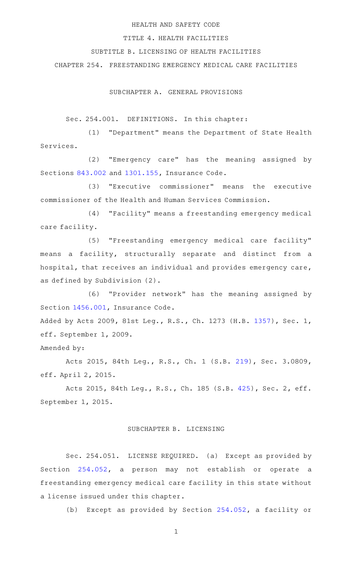### HEALTH AND SAFETY CODE

### TITLE 4. HEALTH FACILITIES

# SUBTITLE B. LICENSING OF HEALTH FACILITIES

CHAPTER 254. FREESTANDING EMERGENCY MEDICAL CARE FACILITIES

SUBCHAPTER A. GENERAL PROVISIONS

Sec. 254.001. DEFINITIONS. In this chapter:

(1) "Department" means the Department of State Health Services.

(2) "Emergency care" has the meaning assigned by Sections [843.002](http://www.statutes.legis.state.tx.us/GetStatute.aspx?Code=IN&Value=843.002) and [1301.155](http://www.statutes.legis.state.tx.us/GetStatute.aspx?Code=IN&Value=1301.155), Insurance Code.

(3) "Executive commissioner" means the executive commissioner of the Health and Human Services Commission.

(4) "Facility" means a freestanding emergency medical care facility.

(5) "Freestanding emergency medical care facility" means a facility, structurally separate and distinct from a hospital, that receives an individual and provides emergency care, as defined by Subdivision (2).

(6) "Provider network" has the meaning assigned by Section [1456.001](http://www.statutes.legis.state.tx.us/GetStatute.aspx?Code=IN&Value=1456.001), Insurance Code.

Added by Acts 2009, 81st Leg., R.S., Ch. 1273 (H.B. [1357\)](http://www.legis.state.tx.us/tlodocs/81R/billtext/html/HB01357F.HTM), Sec. 1, eff. September 1, 2009.

Amended by:

Acts 2015, 84th Leg., R.S., Ch. 1 (S.B. [219](http://www.legis.state.tx.us/tlodocs/84R/billtext/html/SB00219F.HTM)), Sec. 3.0809, eff. April 2, 2015.

Acts 2015, 84th Leg., R.S., Ch. 185 (S.B. [425](http://www.legis.state.tx.us/tlodocs/84R/billtext/html/SB00425F.HTM)), Sec. 2, eff. September 1, 2015.

#### SUBCHAPTER B. LICENSING

Sec. 254.051. LICENSE REQUIRED. (a) Except as provided by Section [254.052](http://www.statutes.legis.state.tx.us/GetStatute.aspx?Code=HS&Value=254.052), a person may not establish or operate a freestanding emergency medical care facility in this state without a license issued under this chapter.

(b) Except as provided by Section [254.052,](http://www.statutes.legis.state.tx.us/GetStatute.aspx?Code=HS&Value=254.052) a facility or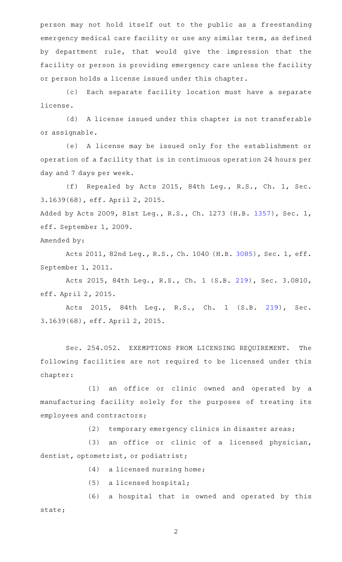person may not hold itself out to the public as a freestanding emergency medical care facility or use any similar term, as defined by department rule, that would give the impression that the facility or person is providing emergency care unless the facility or person holds a license issued under this chapter.

(c) Each separate facility location must have a separate license.

(d) A license issued under this chapter is not transferable or assignable.

(e) A license may be issued only for the establishment or operation of a facility that is in continuous operation 24 hours per day and 7 days per week.

(f) Repealed by Acts 2015, 84th Leg., R.S., Ch. 1, Sec. 3.1639(68), eff. April 2, 2015.

Added by Acts 2009, 81st Leg., R.S., Ch. 1273 (H.B. [1357\)](http://www.legis.state.tx.us/tlodocs/81R/billtext/html/HB01357F.HTM), Sec. 1, eff. September 1, 2009.

Amended by:

Acts 2011, 82nd Leg., R.S., Ch. 1040 (H.B. [3085](http://www.legis.state.tx.us/tlodocs/82R/billtext/html/HB03085F.HTM)), Sec. 1, eff. September 1, 2011.

Acts 2015, 84th Leg., R.S., Ch. 1 (S.B. [219](http://www.legis.state.tx.us/tlodocs/84R/billtext/html/SB00219F.HTM)), Sec. 3.0810, eff. April 2, 2015.

Acts 2015, 84th Leg., R.S., Ch. 1 (S.B. [219](http://www.legis.state.tx.us/tlodocs/84R/billtext/html/SB00219F.HTM)), Sec. 3.1639(68), eff. April 2, 2015.

Sec. 254.052. EXEMPTIONS FROM LICENSING REQUIREMENT. The following facilities are not required to be licensed under this chapter:

(1) an office or clinic owned and operated by a manufacturing facility solely for the purposes of treating its employees and contractors;

(2) temporary emergency clinics in disaster areas;

(3) an office or clinic of a licensed physician, dentist, optometrist, or podiatrist;

 $(4)$  a licensed nursing home;

 $(5)$  a licensed hospital;

(6) a hospital that is owned and operated by this state;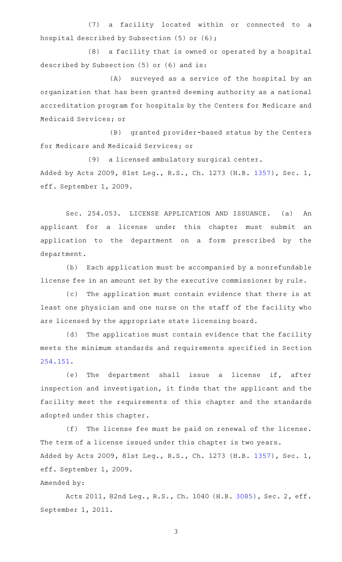(7) a facility located within or connected to a hospital described by Subsection (5) or (6);

(8) a facility that is owned or operated by a hospital described by Subsection (5) or (6) and is:

(A) surveyed as a service of the hospital by an organization that has been granted deeming authority as a national accreditation program for hospitals by the Centers for Medicare and Medicaid Services; or

(B) granted provider-based status by the Centers for Medicare and Medicaid Services; or

(9) a licensed ambulatory surgical center. Added by Acts 2009, 81st Leg., R.S., Ch. 1273 (H.B. [1357\)](http://www.legis.state.tx.us/tlodocs/81R/billtext/html/HB01357F.HTM), Sec. 1, eff. September 1, 2009.

Sec. 254.053. LICENSE APPLICATION AND ISSUANCE. (a) An applicant for a license under this chapter must submit an application to the department on a form prescribed by the department.

(b) Each application must be accompanied by a nonrefundable license fee in an amount set by the executive commissioner by rule.

(c) The application must contain evidence that there is at least one physician and one nurse on the staff of the facility who are licensed by the appropriate state licensing board.

(d) The application must contain evidence that the facility meets the minimum standards and requirements specified in Section [254.151.](http://www.statutes.legis.state.tx.us/GetStatute.aspx?Code=HS&Value=254.151)

(e) The department shall issue a license if, after inspection and investigation, it finds that the applicant and the facility meet the requirements of this chapter and the standards adopted under this chapter.

(f) The license fee must be paid on renewal of the license. The term of a license issued under this chapter is two years. Added by Acts 2009, 81st Leg., R.S., Ch. 1273 (H.B. [1357\)](http://www.legis.state.tx.us/tlodocs/81R/billtext/html/HB01357F.HTM), Sec. 1, eff. September 1, 2009.

# Amended by:

Acts 2011, 82nd Leg., R.S., Ch. 1040 (H.B. [3085](http://www.legis.state.tx.us/tlodocs/82R/billtext/html/HB03085F.HTM)), Sec. 2, eff. September 1, 2011.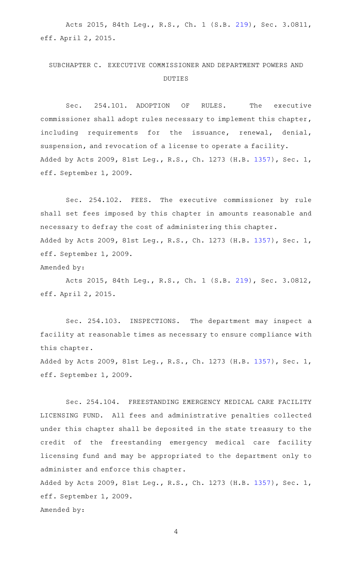Acts 2015, 84th Leg., R.S., Ch. 1 (S.B. [219](http://www.legis.state.tx.us/tlodocs/84R/billtext/html/SB00219F.HTM)), Sec. 3.0811, eff. April 2, 2015.

# SUBCHAPTER C. EXECUTIVE COMMISSIONER AND DEPARTMENT POWERS AND DUTIES

Sec. 254.101. ADOPTION OF RULES. The executive commissioner shall adopt rules necessary to implement this chapter, including requirements for the issuance, renewal, denial, suspension, and revocation of a license to operate a facility. Added by Acts 2009, 81st Leg., R.S., Ch. 1273 (H.B. [1357\)](http://www.legis.state.tx.us/tlodocs/81R/billtext/html/HB01357F.HTM), Sec. 1, eff. September 1, 2009.

Sec. 254.102. FEES. The executive commissioner by rule shall set fees imposed by this chapter in amounts reasonable and necessary to defray the cost of administering this chapter. Added by Acts 2009, 81st Leg., R.S., Ch. 1273 (H.B. [1357\)](http://www.legis.state.tx.us/tlodocs/81R/billtext/html/HB01357F.HTM), Sec. 1, eff. September 1, 2009. Amended by:

Acts 2015, 84th Leg., R.S., Ch. 1 (S.B. [219](http://www.legis.state.tx.us/tlodocs/84R/billtext/html/SB00219F.HTM)), Sec. 3.0812, eff. April 2, 2015.

Sec. 254.103. INSPECTIONS. The department may inspect a facility at reasonable times as necessary to ensure compliance with this chapter.

Added by Acts 2009, 81st Leg., R.S., Ch. 1273 (H.B. [1357\)](http://www.legis.state.tx.us/tlodocs/81R/billtext/html/HB01357F.HTM), Sec. 1, eff. September 1, 2009.

Sec. 254.104. FREESTANDING EMERGENCY MEDICAL CARE FACILITY LICENSING FUND. All fees and administrative penalties collected under this chapter shall be deposited in the state treasury to the credit of the freestanding emergency medical care facility licensing fund and may be appropriated to the department only to administer and enforce this chapter.

Added by Acts 2009, 81st Leg., R.S., Ch. 1273 (H.B. [1357\)](http://www.legis.state.tx.us/tlodocs/81R/billtext/html/HB01357F.HTM), Sec. 1, eff. September 1, 2009. Amended by: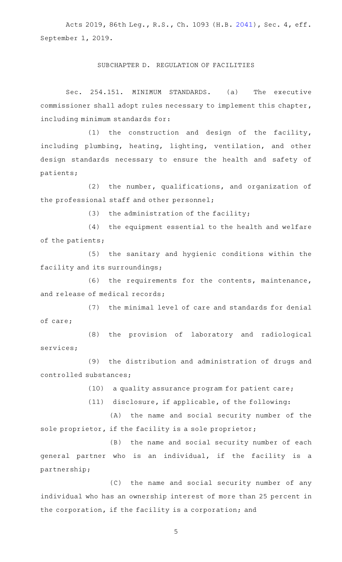Acts 2019, 86th Leg., R.S., Ch. 1093 (H.B. [2041](http://www.legis.state.tx.us/tlodocs/86R/billtext/html/HB02041F.HTM)), Sec. 4, eff. September 1, 2019.

#### SUBCHAPTER D. REGULATION OF FACILITIES

Sec. 254.151. MINIMUM STANDARDS. (a) The executive commissioner shall adopt rules necessary to implement this chapter, including minimum standards for:

 $(1)$  the construction and design of the facility, including plumbing, heating, lighting, ventilation, and other design standards necessary to ensure the health and safety of patients;

 $(2)$  the number, qualifications, and organization of the professional staff and other personnel;

(3) the administration of the facility;

(4) the equipment essential to the health and welfare of the patients;

(5) the sanitary and hygienic conditions within the facility and its surroundings;

 $(6)$  the requirements for the contents, maintenance, and release of medical records;

(7) the minimal level of care and standards for denial of care;

(8) the provision of laboratory and radiological services;

(9) the distribution and administration of drugs and controlled substances;

(10) a quality assurance program for patient care;

(11) disclosure, if applicable, of the following:

(A) the name and social security number of the sole proprietor, if the facility is a sole proprietor;

(B) the name and social security number of each general partner who is an individual, if the facility is a partnership;

(C) the name and social security number of any individual who has an ownership interest of more than 25 percent in the corporation, if the facility is a corporation; and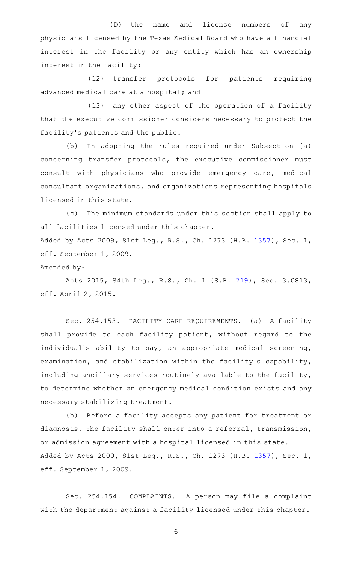(D) the name and license numbers of any physicians licensed by the Texas Medical Board who have a financial interest in the facility or any entity which has an ownership interest in the facility;

(12) transfer protocols for patients requiring advanced medical care at a hospital; and

 $(13)$  any other aspect of the operation of a facility that the executive commissioner considers necessary to protect the facility 's patients and the public.

(b) In adopting the rules required under Subsection (a) concerning transfer protocols, the executive commissioner must consult with physicians who provide emergency care, medical consultant organizations, and organizations representing hospitals licensed in this state.

(c) The minimum standards under this section shall apply to all facilities licensed under this chapter. Added by Acts 2009, 81st Leg., R.S., Ch. 1273 (H.B. [1357\)](http://www.legis.state.tx.us/tlodocs/81R/billtext/html/HB01357F.HTM), Sec. 1, eff. September 1, 2009.

Amended by:

Acts 2015, 84th Leg., R.S., Ch. 1 (S.B. [219](http://www.legis.state.tx.us/tlodocs/84R/billtext/html/SB00219F.HTM)), Sec. 3.0813, eff. April 2, 2015.

Sec. 254.153. FACILITY CARE REQUIREMENTS. (a) A facility shall provide to each facility patient, without regard to the individual's ability to pay, an appropriate medical screening, examination, and stabilization within the facility's capability, including ancillary services routinely available to the facility, to determine whether an emergency medical condition exists and any necessary stabilizing treatment.

(b) Before a facility accepts any patient for treatment or diagnosis, the facility shall enter into a referral, transmission, or admission agreement with a hospital licensed in this state. Added by Acts 2009, 81st Leg., R.S., Ch. 1273 (H.B. [1357\)](http://www.legis.state.tx.us/tlodocs/81R/billtext/html/HB01357F.HTM), Sec. 1, eff. September 1, 2009.

Sec. 254.154. COMPLAINTS. A person may file a complaint with the department against a facility licensed under this chapter.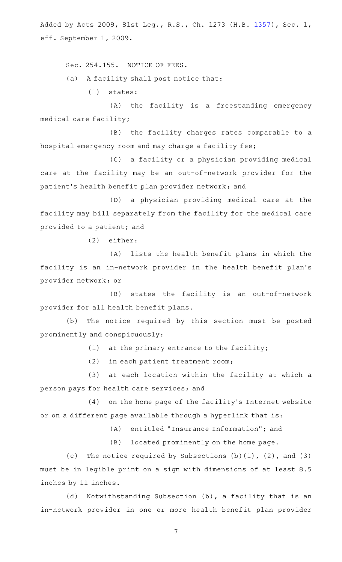Added by Acts 2009, 81st Leg., R.S., Ch. 1273 (H.B. [1357\)](http://www.legis.state.tx.us/tlodocs/81R/billtext/html/HB01357F.HTM), Sec. 1, eff. September 1, 2009.

Sec. 254.155. NOTICE OF FEES.

(a) A facility shall post notice that:

 $(1)$  states:

(A) the facility is a freestanding emergency medical care facility;

(B) the facility charges rates comparable to a hospital emergency room and may charge a facility fee;

(C) a facility or a physician providing medical care at the facility may be an out-of-network provider for the patient 's health benefit plan provider network; and

(D) a physician providing medical care at the facility may bill separately from the facility for the medical care provided to a patient; and

(2) either:

(A) lists the health benefit plans in which the facility is an in-network provider in the health benefit plan's provider network; or

(B) states the facility is an out-of-network provider for all health benefit plans.

(b) The notice required by this section must be posted prominently and conspicuously:

 $(1)$  at the primary entrance to the facility;

(2) in each patient treatment room;

(3) at each location within the facility at which a person pays for health care services; and

(4) on the home page of the facility's Internet website or on a different page available through a hyperlink that is:

(A) entitled "Insurance Information"; and

(B) located prominently on the home page.

(c) The notice required by Subsections  $(b)(1)$ ,  $(2)$ , and  $(3)$ must be in legible print on a sign with dimensions of at least 8.5 inches by 11 inches.

(d) Notwithstanding Subsection (b), a facility that is an in-network provider in one or more health benefit plan provider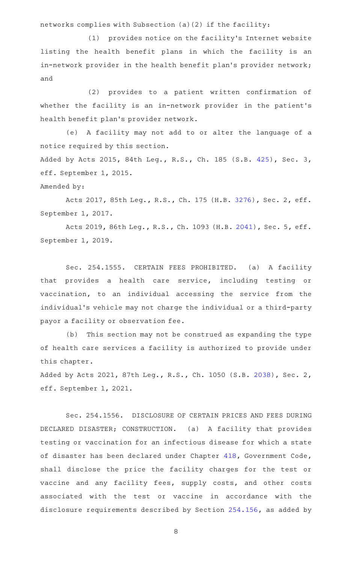networks complies with Subsection (a)(2) if the facility:

(1) provides notice on the facility's Internet website listing the health benefit plans in which the facility is an in-network provider in the health benefit plan's provider network; and

(2) provides to a patient written confirmation of whether the facility is an in-network provider in the patient's health benefit plan 's provider network.

(e) A facility may not add to or alter the language of a notice required by this section.

Added by Acts 2015, 84th Leg., R.S., Ch. 185 (S.B. [425](http://www.legis.state.tx.us/tlodocs/84R/billtext/html/SB00425F.HTM)), Sec. 3, eff. September 1, 2015.

Amended by:

Acts 2017, 85th Leg., R.S., Ch. 175 (H.B. [3276](http://www.legis.state.tx.us/tlodocs/85R/billtext/html/HB03276F.HTM)), Sec. 2, eff. September 1, 2017.

Acts 2019, 86th Leg., R.S., Ch. 1093 (H.B. [2041](http://www.legis.state.tx.us/tlodocs/86R/billtext/html/HB02041F.HTM)), Sec. 5, eff. September 1, 2019.

Sec. 254.1555. CERTAIN FEES PROHIBITED. (a) A facility that provides a health care service, including testing or vaccination, to an individual accessing the service from the individual 's vehicle may not charge the individual or a third-party payor a facility or observation fee.

(b) This section may not be construed as expanding the type of health care services a facility is authorized to provide under this chapter.

Added by Acts 2021, 87th Leg., R.S., Ch. 1050 (S.B. [2038\)](http://www.legis.state.tx.us/tlodocs/87R/billtext/html/SB02038F.HTM), Sec. 2, eff. September 1, 2021.

Sec. 254.1556. DISCLOSURE OF CERTAIN PRICES AND FEES DURING DECLARED DISASTER; CONSTRUCTION. (a) A facility that provides testing or vaccination for an infectious disease for which a state of disaster has been declared under Chapter [418](http://www.statutes.legis.state.tx.us/GetStatute.aspx?Code=GV&Value=418), Government Code, shall disclose the price the facility charges for the test or vaccine and any facility fees, supply costs, and other costs associated with the test or vaccine in accordance with the disclosure requirements described by Section [254.156,](http://www.statutes.legis.state.tx.us/GetStatute.aspx?Code=HS&Value=254.156) as added by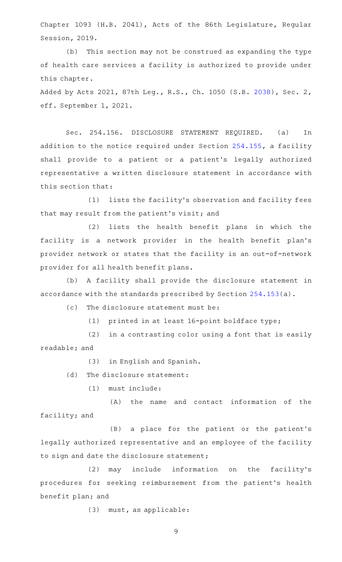Chapter 1093 (H.B. 2041), Acts of the 86th Legislature, Regular Session, 2019.

(b) This section may not be construed as expanding the type of health care services a facility is authorized to provide under this chapter.

Added by Acts 2021, 87th Leg., R.S., Ch. 1050 (S.B. [2038\)](http://www.legis.state.tx.us/tlodocs/87R/billtext/html/SB02038F.HTM), Sec. 2, eff. September 1, 2021.

Sec. 254.156. DISCLOSURE STATEMENT REQUIRED. (a) In addition to the notice required under Section [254.155](http://www.statutes.legis.state.tx.us/GetStatute.aspx?Code=HS&Value=254.155), a facility shall provide to a patient or a patient 's legally authorized representative a written disclosure statement in accordance with this section that:

(1) lists the facility's observation and facility fees that may result from the patient 's visit; and

(2) lists the health benefit plans in which the facility is a network provider in the health benefit plan's provider network or states that the facility is an out-of-network provider for all health benefit plans.

(b) A facility shall provide the disclosure statement in accordance with the standards prescribed by Section [254.153\(](http://www.statutes.legis.state.tx.us/GetStatute.aspx?Code=HS&Value=254.153)a).

 $(c)$  The disclosure statement must be:

(1) printed in at least  $16$ -point boldface type;

 $(2)$  in a contrasting color using a font that is easily readable; and

(3) in English and Spanish.

(d) The disclosure statement:

(1) must include:

 $(A)$  the name and contact information of the facility; and

(B) a place for the patient or the patient's legally authorized representative and an employee of the facility to sign and date the disclosure statement;

(2) may include information on the facility's procedures for seeking reimbursement from the patient's health benefit plan; and

(3) must, as applicable: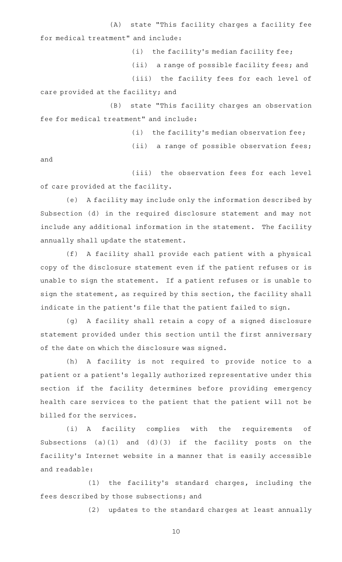(A) state "This facility charges a facility fee for medical treatment" and include:

(i) the facility's median facility fee;

(ii) a range of possible facility fees; and

(iii) the facility fees for each level of care provided at the facility; and

(B) state "This facility charges an observation fee for medical treatment" and include:

 $(i)$  the facility's median observation fee;

(ii) a range of possible observation fees;

and

(iii) the observation fees for each level of care provided at the facility.

(e) A facility may include only the information described by Subsection (d) in the required disclosure statement and may not include any additional information in the statement. The facility annually shall update the statement.

(f) A facility shall provide each patient with a physical copy of the disclosure statement even if the patient refuses or is unable to sign the statement. If a patient refuses or is unable to sign the statement, as required by this section, the facility shall indicate in the patient 's file that the patient failed to sign.

(g) A facility shall retain a copy of a signed disclosure statement provided under this section until the first anniversary of the date on which the disclosure was signed.

(h) A facility is not required to provide notice to a patient or a patient 's legally authorized representative under this section if the facility determines before providing emergency health care services to the patient that the patient will not be billed for the services.

(i) A facility complies with the requirements of Subsections (a)(1) and (d)(3) if the facility posts on the facility 's Internet website in a manner that is easily accessible and readable:

 $(1)$  the facility's standard charges, including the fees described by those subsections; and

(2) updates to the standard charges at least annually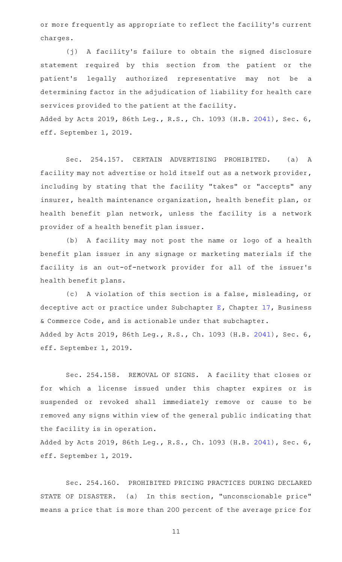or more frequently as appropriate to reflect the facility 's current charges.

(j) A facility's failure to obtain the signed disclosure statement required by this section from the patient or the patient 's legally authorized representative may not be a determining factor in the adjudication of liability for health care services provided to the patient at the facility.

Added by Acts 2019, 86th Leg., R.S., Ch. 1093 (H.B. [2041\)](http://www.legis.state.tx.us/tlodocs/86R/billtext/html/HB02041F.HTM), Sec. 6, eff. September 1, 2019.

Sec. 254.157. CERTAIN ADVERTISING PROHIBITED. (a) A facility may not advertise or hold itself out as a network provider, including by stating that the facility "takes" or "accepts" any insurer, health maintenance organization, health benefit plan, or health benefit plan network, unless the facility is a network provider of a health benefit plan issuer.

(b) A facility may not post the name or logo of a health benefit plan issuer in any signage or marketing materials if the facility is an out-of-network provider for all of the issuer 's health benefit plans.

(c) A violation of this section is a false, misleading, or deceptive act or practice under Subchapter [E](http://www.statutes.legis.state.tx.us/GetStatute.aspx?Code=BC&Value=17.41), Chapter [17,](http://www.statutes.legis.state.tx.us/GetStatute.aspx?Code=BC&Value=17) Business & Commerce Code, and is actionable under that subchapter. Added by Acts 2019, 86th Leg., R.S., Ch. 1093 (H.B. [2041\)](http://www.legis.state.tx.us/tlodocs/86R/billtext/html/HB02041F.HTM), Sec. 6, eff. September 1, 2019.

Sec. 254.158. REMOVAL OF SIGNS. A facility that closes or for which a license issued under this chapter expires or is suspended or revoked shall immediately remove or cause to be removed any signs within view of the general public indicating that the facility is in operation.

Added by Acts 2019, 86th Leg., R.S., Ch. 1093 (H.B. [2041\)](http://www.legis.state.tx.us/tlodocs/86R/billtext/html/HB02041F.HTM), Sec. 6, eff. September 1, 2019.

Sec. 254.160. PROHIBITED PRICING PRACTICES DURING DECLARED STATE OF DISASTER. (a) In this section, "unconscionable price" means a price that is more than 200 percent of the average price for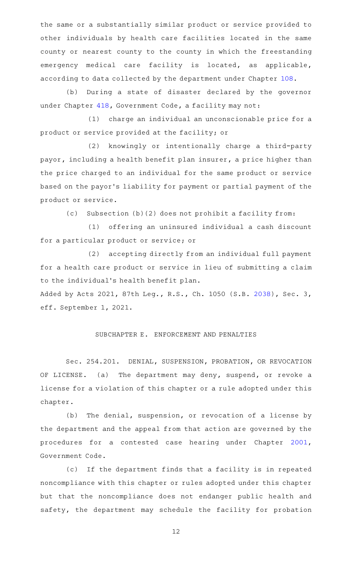the same or a substantially similar product or service provided to other individuals by health care facilities located in the same county or nearest county to the county in which the freestanding emergency medical care facility is located, as applicable, according to data collected by the department under Chapter [108.](http://www.statutes.legis.state.tx.us/GetStatute.aspx?Code=HS&Value=108)

(b) During a state of disaster declared by the governor under Chapter [418](http://www.statutes.legis.state.tx.us/GetStatute.aspx?Code=GV&Value=418), Government Code, a facility may not:

(1) charge an individual an unconscionable price for a product or service provided at the facility; or

(2) knowingly or intentionally charge a third-party payor, including a health benefit plan insurer, a price higher than the price charged to an individual for the same product or service based on the payor 's liability for payment or partial payment of the product or service.

(c) Subsection (b)(2) does not prohibit a facility from:

(1) offering an uninsured individual a cash discount for a particular product or service; or

(2) accepting directly from an individual full payment for a health care product or service in lieu of submitting a claim to the individual 's health benefit plan.

Added by Acts 2021, 87th Leg., R.S., Ch. 1050 (S.B. [2038\)](http://www.legis.state.tx.us/tlodocs/87R/billtext/html/SB02038F.HTM), Sec. 3, eff. September 1, 2021.

# SUBCHAPTER E. ENFORCEMENT AND PENALTIES

Sec. 254.201. DENIAL, SUSPENSION, PROBATION, OR REVOCATION OF LICENSE. (a) The department may deny, suspend, or revoke a license for a violation of this chapter or a rule adopted under this chapter.

(b) The denial, suspension, or revocation of a license by the department and the appeal from that action are governed by the procedures for a contested case hearing under Chapter [2001](http://www.statutes.legis.state.tx.us/GetStatute.aspx?Code=GV&Value=2001), Government Code.

(c) If the department finds that a facility is in repeated noncompliance with this chapter or rules adopted under this chapter but that the noncompliance does not endanger public health and safety, the department may schedule the facility for probation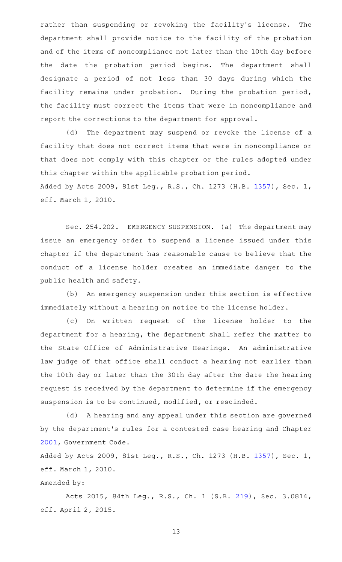rather than suspending or revoking the facility's license. The department shall provide notice to the facility of the probation and of the items of noncompliance not later than the 10th day before the date the probation period begins. The department shall designate a period of not less than 30 days during which the facility remains under probation. During the probation period, the facility must correct the items that were in noncompliance and report the corrections to the department for approval.

(d) The department may suspend or revoke the license of a facility that does not correct items that were in noncompliance or that does not comply with this chapter or the rules adopted under this chapter within the applicable probation period. Added by Acts 2009, 81st Leg., R.S., Ch. 1273 (H.B. [1357\)](http://www.legis.state.tx.us/tlodocs/81R/billtext/html/HB01357F.HTM), Sec. 1,

eff. March 1, 2010.

Sec. 254.202. EMERGENCY SUSPENSION. (a) The department may issue an emergency order to suspend a license issued under this chapter if the department has reasonable cause to believe that the conduct of a license holder creates an immediate danger to the public health and safety.

(b) An emergency suspension under this section is effective immediately without a hearing on notice to the license holder.

(c) On written request of the license holder to the department for a hearing, the department shall refer the matter to the State Office of Administrative Hearings. An administrative law judge of that office shall conduct a hearing not earlier than the 10th day or later than the 30th day after the date the hearing request is received by the department to determine if the emergency suspension is to be continued, modified, or rescinded.

(d) A hearing and any appeal under this section are governed by the department 's rules for a contested case hearing and Chapter [2001](http://www.statutes.legis.state.tx.us/GetStatute.aspx?Code=GV&Value=2001), Government Code.

Added by Acts 2009, 81st Leg., R.S., Ch. 1273 (H.B. [1357\)](http://www.legis.state.tx.us/tlodocs/81R/billtext/html/HB01357F.HTM), Sec. 1, eff. March 1, 2010.

# Amended by:

Acts 2015, 84th Leg., R.S., Ch. 1 (S.B. [219](http://www.legis.state.tx.us/tlodocs/84R/billtext/html/SB00219F.HTM)), Sec. 3.0814, eff. April 2, 2015.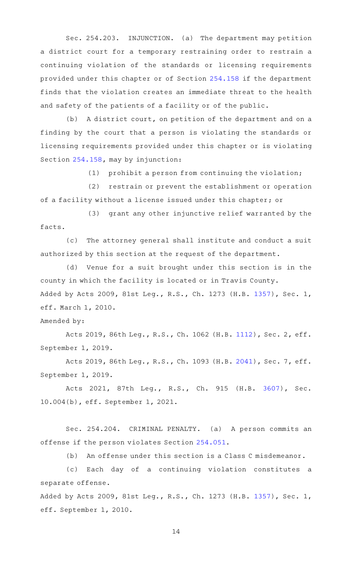Sec. 254.203. INJUNCTION. (a) The department may petition a district court for a temporary restraining order to restrain a continuing violation of the standards or licensing requirements provided under this chapter or of Section [254.158](http://www.statutes.legis.state.tx.us/GetStatute.aspx?Code=HS&Value=254.158) if the department finds that the violation creates an immediate threat to the health and safety of the patients of a facility or of the public.

(b) A district court, on petition of the department and on a finding by the court that a person is violating the standards or licensing requirements provided under this chapter or is violating Section [254.158,](http://www.statutes.legis.state.tx.us/GetStatute.aspx?Code=HS&Value=254.158) may by injunction:

 $(1)$  prohibit a person from continuing the violation;

(2) restrain or prevent the establishment or operation of a facility without a license issued under this chapter; or

(3) grant any other injunctive relief warranted by the facts.

(c) The attorney general shall institute and conduct a suit authorized by this section at the request of the department.

(d) Venue for a suit brought under this section is in the county in which the facility is located or in Travis County. Added by Acts 2009, 81st Leg., R.S., Ch. 1273 (H.B. [1357\)](http://www.legis.state.tx.us/tlodocs/81R/billtext/html/HB01357F.HTM), Sec. 1, eff. March 1, 2010.

# Amended by:

Acts 2019, 86th Leg., R.S., Ch. 1062 (H.B. [1112](http://www.legis.state.tx.us/tlodocs/86R/billtext/html/HB01112F.HTM)), Sec. 2, eff. September 1, 2019.

Acts 2019, 86th Leg., R.S., Ch. 1093 (H.B. [2041](http://www.legis.state.tx.us/tlodocs/86R/billtext/html/HB02041F.HTM)), Sec. 7, eff. September 1, 2019.

Acts 2021, 87th Leg., R.S., Ch. 915 (H.B. [3607\)](http://www.legis.state.tx.us/tlodocs/87R/billtext/html/HB03607F.HTM), Sec. 10.004(b), eff. September 1, 2021.

Sec. 254.204. CRIMINAL PENALTY. (a) A person commits an offense if the person violates Section [254.051](http://www.statutes.legis.state.tx.us/GetStatute.aspx?Code=HS&Value=254.051).

(b) An offense under this section is a Class C misdemeanor.

(c) Each day of a continuing violation constitutes a separate offense.

Added by Acts 2009, 81st Leg., R.S., Ch. 1273 (H.B. [1357\)](http://www.legis.state.tx.us/tlodocs/81R/billtext/html/HB01357F.HTM), Sec. 1, eff. September 1, 2010.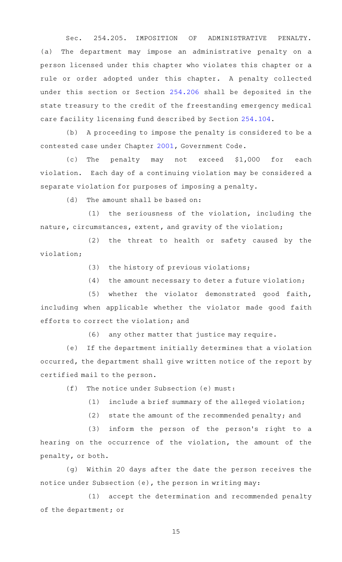Sec. 254.205. IMPOSITION OF ADMINISTRATIVE PENALTY. (a) The department may impose an administrative penalty on a person licensed under this chapter who violates this chapter or a rule or order adopted under this chapter. A penalty collected under this section or Section [254.206](http://www.statutes.legis.state.tx.us/GetStatute.aspx?Code=HS&Value=254.206) shall be deposited in the state treasury to the credit of the freestanding emergency medical care facility licensing fund described by Section [254.104.](http://www.statutes.legis.state.tx.us/GetStatute.aspx?Code=HS&Value=254.104)

(b) A proceeding to impose the penalty is considered to be a contested case under Chapter [2001](http://www.statutes.legis.state.tx.us/GetStatute.aspx?Code=GV&Value=2001), Government Code.

 $(c)$  The penalty may not exceed \$1,000 for each violation. Each day of a continuing violation may be considered a separate violation for purposes of imposing a penalty.

 $(d)$  The amount shall be based on:

 $(1)$  the seriousness of the violation, including the nature, circumstances, extent, and gravity of the violation;

(2) the threat to health or safety caused by the violation;

(3) the history of previous violations;

 $(4)$  the amount necessary to deter a future violation;

(5) whether the violator demonstrated good faith, including when applicable whether the violator made good faith efforts to correct the violation; and

 $(6)$  any other matter that justice may require.

(e) If the department initially determines that a violation occurred, the department shall give written notice of the report by certified mail to the person.

 $(f)$  The notice under Subsection (e) must:

 $(1)$  include a brief summary of the alleged violation;

(2) state the amount of the recommended penalty; and

 $(3)$  inform the person of the person's right to a hearing on the occurrence of the violation, the amount of the penalty, or both.

(g) Within 20 days after the date the person receives the notice under Subsection (e), the person in writing may:

(1) accept the determination and recommended penalty of the department; or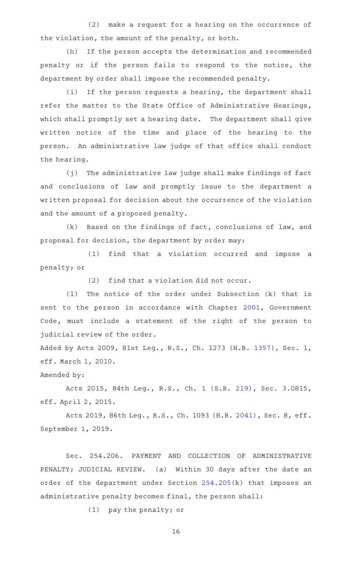$(2)$  make a request for a hearing on the occurrence of the violation, the amount of the penalty, or both.

(h) If the person accepts the determination and recommended penalty or if the person fails to respond to the notice, the department by order shall impose the recommended penalty.

(i) If the person requests a hearing, the department shall refer the matter to the State Office of Administrative Hearings, which shall promptly set a hearing date. The department shall give written notice of the time and place of the hearing to the person. An administrative law judge of that office shall conduct the hearing.

(j) The administrative law judge shall make findings of fact and conclusions of law and promptly issue to the department a written proposal for decision about the occurrence of the violation and the amount of a proposed penalty.

 $(k)$  Based on the findings of fact, conclusions of law, and proposal for decision, the department by order may:

(1) find that a violation occurred and impose a penalty; or

 $(2)$  find that a violation did not occur.

(1) The notice of the order under Subsection (k) that is sent to the person in accordance with Chapter [2001](http://www.statutes.legis.state.tx.us/GetStatute.aspx?Code=GV&Value=2001), Government Code, must include a statement of the right of the person to judicial review of the order.

Added by Acts 2009, 81st Leg., R.S., Ch. 1273 (H.B. [1357\)](http://www.legis.state.tx.us/tlodocs/81R/billtext/html/HB01357F.HTM), Sec. 1, eff. March 1, 2010.

Amended by:

Acts 2015, 84th Leg., R.S., Ch. 1 (S.B. [219](http://www.legis.state.tx.us/tlodocs/84R/billtext/html/SB00219F.HTM)), Sec. 3.0815, eff. April 2, 2015.

Acts 2019, 86th Leg., R.S., Ch. 1093 (H.B. [2041](http://www.legis.state.tx.us/tlodocs/86R/billtext/html/HB02041F.HTM)), Sec. 8, eff. September 1, 2019.

Sec. 254.206. PAYMENT AND COLLECTION OF ADMINISTRATIVE PENALTY; JUDICIAL REVIEW. (a) Within 30 days after the date an order of the department under Section [254.205\(](http://www.statutes.legis.state.tx.us/GetStatute.aspx?Code=HS&Value=254.205)k) that imposes an administrative penalty becomes final, the person shall:

 $(1)$  pay the penalty; or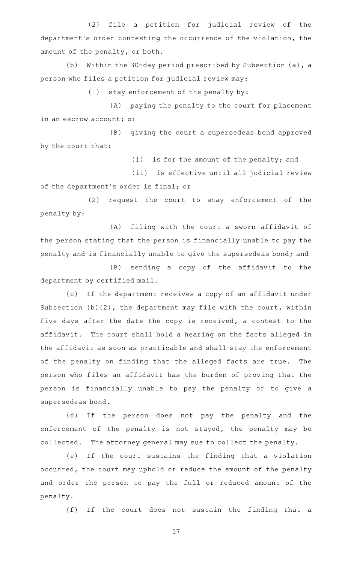(2) file a petition for judicial review of the department 's order contesting the occurrence of the violation, the amount of the penalty, or both.

(b) Within the 30-day period prescribed by Subsection (a), a person who files a petition for judicial review may:

 $(1)$  stay enforcement of the penalty by:

(A) paying the penalty to the court for placement in an escrow account; or

(B) giving the court a supersedeas bond approved by the court that:

(i) is for the amount of the penalty; and

(ii) is effective until all judicial review of the department 's order is final; or

(2) request the court to stay enforcement of the penalty by:

(A) filing with the court a sworn affidavit of the person stating that the person is financially unable to pay the penalty and is financially unable to give the supersedeas bond; and

(B) sending a copy of the affidavit to the department by certified mail.

(c) If the department receives a copy of an affidavit under Subsection (b)(2), the department may file with the court, within five days after the date the copy is received, a contest to the affidavit. The court shall hold a hearing on the facts alleged in the affidavit as soon as practicable and shall stay the enforcement of the penalty on finding that the alleged facts are true. The person who files an affidavit has the burden of proving that the person is financially unable to pay the penalty or to give a supersedeas bond.

(d) If the person does not pay the penalty and the enforcement of the penalty is not stayed, the penalty may be collected. The attorney general may sue to collect the penalty.

(e) If the court sustains the finding that a violation occurred, the court may uphold or reduce the amount of the penalty and order the person to pay the full or reduced amount of the penalty.

(f) If the court does not sustain the finding that a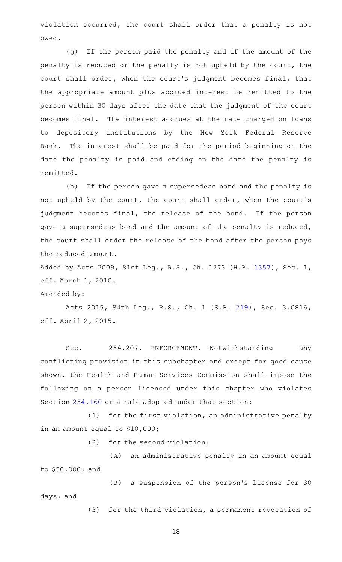violation occurred, the court shall order that a penalty is not owed.

(g) If the person paid the penalty and if the amount of the penalty is reduced or the penalty is not upheld by the court, the court shall order, when the court 's judgment becomes final, that the appropriate amount plus accrued interest be remitted to the person within 30 days after the date that the judgment of the court becomes final. The interest accrues at the rate charged on loans to depository institutions by the New York Federal Reserve Bank. The interest shall be paid for the period beginning on the date the penalty is paid and ending on the date the penalty is remitted.

(h) If the person gave a supersedeas bond and the penalty is not upheld by the court, the court shall order, when the court 's judgment becomes final, the release of the bond. If the person gave a supersedeas bond and the amount of the penalty is reduced, the court shall order the release of the bond after the person pays the reduced amount.

Added by Acts 2009, 81st Leg., R.S., Ch. 1273 (H.B. [1357\)](http://www.legis.state.tx.us/tlodocs/81R/billtext/html/HB01357F.HTM), Sec. 1, eff. March 1, 2010.

#### Amended by:

Acts 2015, 84th Leg., R.S., Ch. 1 (S.B. [219](http://www.legis.state.tx.us/tlodocs/84R/billtext/html/SB00219F.HTM)), Sec. 3.0816, eff. April 2, 2015.

Sec. 254.207. ENFORCEMENT. Notwithstanding any conflicting provision in this subchapter and except for good cause shown, the Health and Human Services Commission shall impose the following on a person licensed under this chapter who violates Section [254.160](http://www.statutes.legis.state.tx.us/GetStatute.aspx?Code=HS&Value=254.160) or a rule adopted under that section:

 $(1)$  for the first violation, an administrative penalty in an amount equal to \$10,000;

 $(2)$  for the second violation:

(A) an administrative penalty in an amount equal to \$50,000; and

(B) a suspension of the person's license for 30 days; and

(3) for the third violation, a permanent revocation of